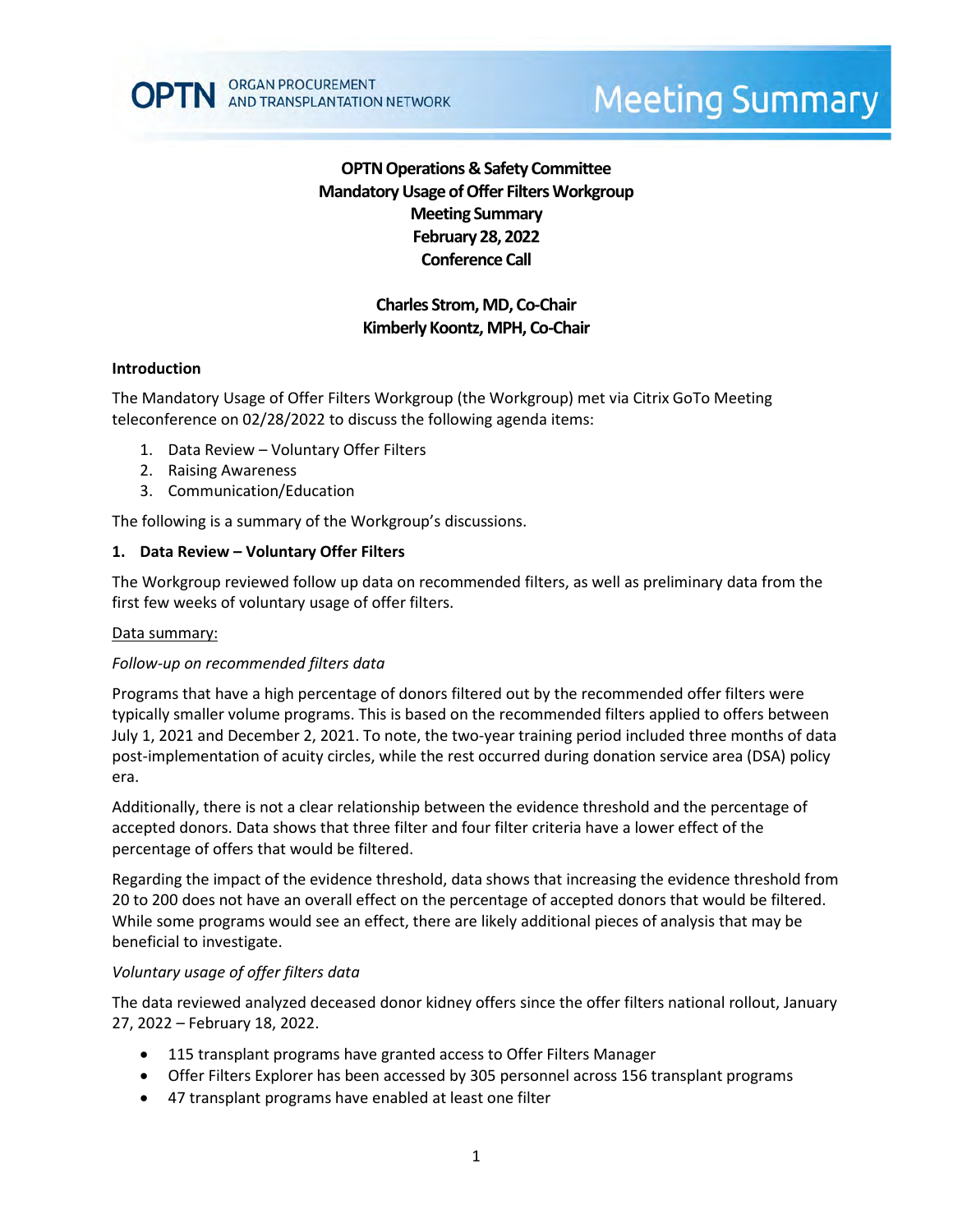

# **OPTN Operations & Safety Committee Mandatory Usage of Offer Filters Workgroup Meeting Summary February 28, 2022 Conference Call**

## **Charles Strom, MD, Co-Chair Kimberly Koontz, MPH, Co-Chair**

## **Introduction**

The Mandatory Usage of Offer Filters Workgroup (the Workgroup) met via Citrix GoTo Meeting teleconference on 02/28/2022 to discuss the following agenda items:

- 1. Data Review Voluntary Offer Filters
- 2. Raising Awareness
- 3. Communication/Education

The following is a summary of the Workgroup's discussions.

## **1. Data Review – Voluntary Offer Filters**

The Workgroup reviewed follow up data on recommended filters, as well as preliminary data from the first few weeks of voluntary usage of offer filters.

## Data summary:

## *Follow-up on recommended filters data*

Programs that have a high percentage of donors filtered out by the recommended offer filters were typically smaller volume programs. This is based on the recommended filters applied to offers between July 1, 2021 and December 2, 2021. To note, the two-year training period included three months of data post-implementation of acuity circles, while the rest occurred during donation service area (DSA) policy era.

Additionally, there is not a clear relationship between the evidence threshold and the percentage of accepted donors. Data shows that three filter and four filter criteria have a lower effect of the percentage of offers that would be filtered.

Regarding the impact of the evidence threshold, data shows that increasing the evidence threshold from 20 to 200 does not have an overall effect on the percentage of accepted donors that would be filtered. While some programs would see an effect, there are likely additional pieces of analysis that may be beneficial to investigate.

## *Voluntary usage of offer filters data*

The data reviewed analyzed deceased donor kidney offers since the offer filters national rollout, January 27, 2022 – February 18, 2022.

- 115 transplant programs have granted access to Offer Filters Manager
- Offer Filters Explorer has been accessed by 305 personnel across 156 transplant programs
- 47 transplant programs have enabled at least one filter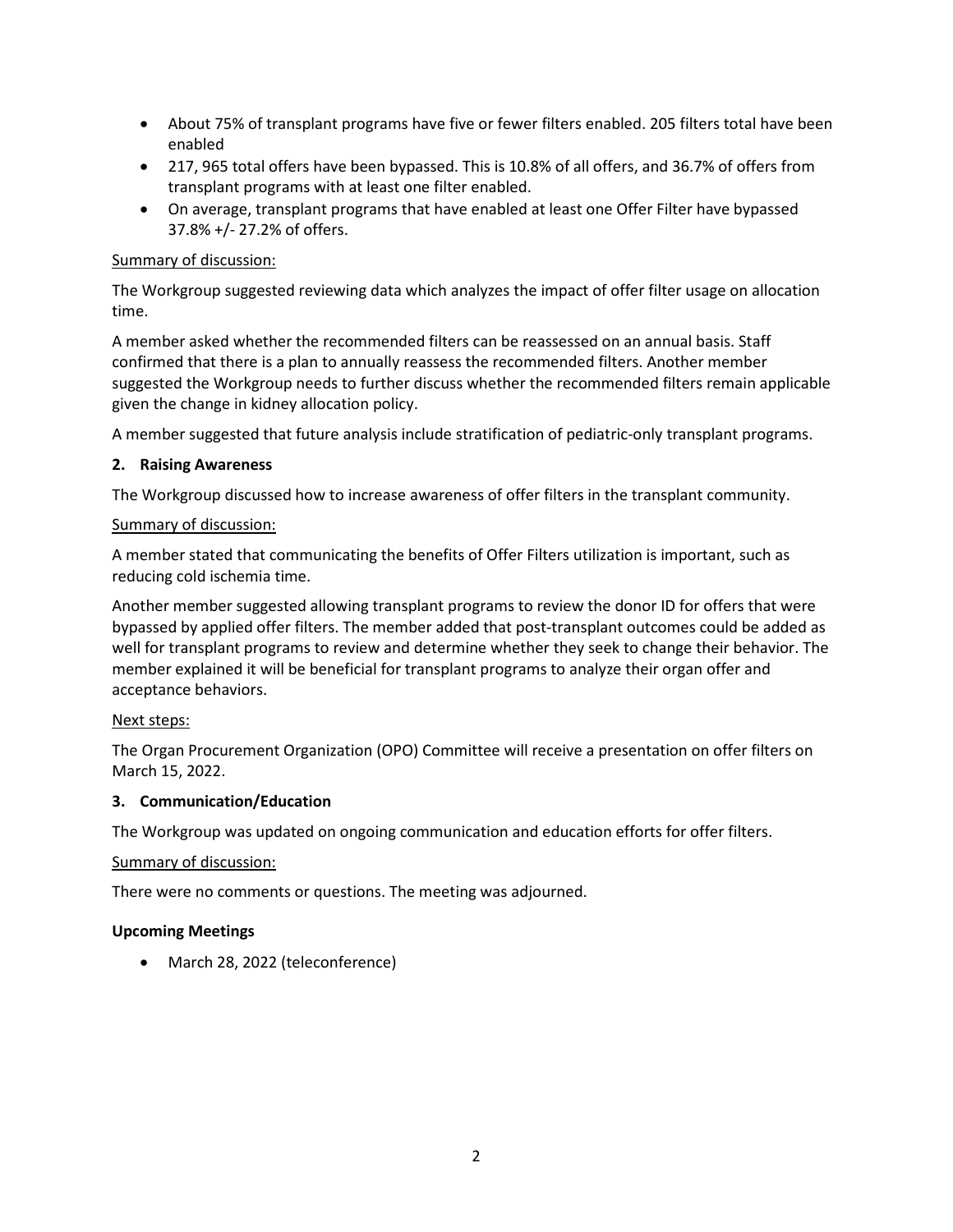- About 75% of transplant programs have five or fewer filters enabled. 205 filters total have been enabled
- 217, 965 total offers have been bypassed. This is 10.8% of all offers, and 36.7% of offers from transplant programs with at least one filter enabled.
- On average, transplant programs that have enabled at least one Offer Filter have bypassed 37.8% +/- 27.2% of offers.

## Summary of discussion:

The Workgroup suggested reviewing data which analyzes the impact of offer filter usage on allocation time.

A member asked whether the recommended filters can be reassessed on an annual basis. Staff confirmed that there is a plan to annually reassess the recommended filters. Another member suggested the Workgroup needs to further discuss whether the recommended filters remain applicable given the change in kidney allocation policy.

A member suggested that future analysis include stratification of pediatric-only transplant programs.

## **2. Raising Awareness**

The Workgroup discussed how to increase awareness of offer filters in the transplant community.

## Summary of discussion:

A member stated that communicating the benefits of Offer Filters utilization is important, such as reducing cold ischemia time.

Another member suggested allowing transplant programs to review the donor ID for offers that were bypassed by applied offer filters. The member added that post-transplant outcomes could be added as well for transplant programs to review and determine whether they seek to change their behavior. The member explained it will be beneficial for transplant programs to analyze their organ offer and acceptance behaviors.

## Next steps:

The Organ Procurement Organization (OPO) Committee will receive a presentation on offer filters on March 15, 2022.

## **3. Communication/Education**

The Workgroup was updated on ongoing communication and education efforts for offer filters.

## Summary of discussion:

There were no comments or questions. The meeting was adjourned.

## **Upcoming Meetings**

• March 28, 2022 (teleconference)